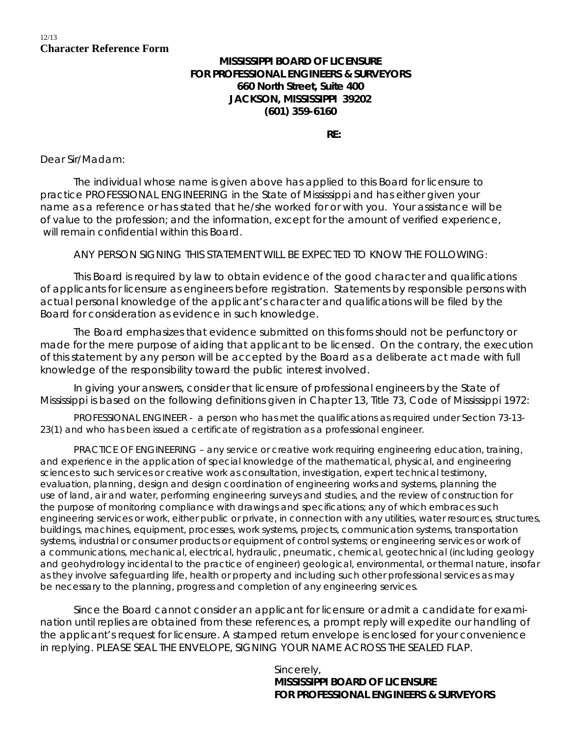## 12/13 **Character Reference Form**

## **MISSISSIPPI BOARD OF LICENSURE FOR PROFESSIONAL ENGINEERS & SURVEYORS 660 North Street, Suite 400 JACKSON, MISSISSIPPI 39202 (601) 359-6160**

**RE:**

Dear Sir/Madam:

The individual whose name is given above has applied to this Board for licensure to practice PROFESSIONAL ENGINEERING in the State of Mississippi and has either given your name as a reference or has stated that he/she worked for or with you. Your assistance will be of value to the profession; and the information, except for the amount of verified experience, will remain confidential within this Board.

ANY PERSON SIGNING THIS STATEMENT WILL BE EXPECTED TO KNOW THE FOLLOWING:

This Board is required by law to obtain evidence of the good character and qualifications of applicants for licensure as engineers before registration. Statements by responsible persons with actual personal knowledge of the applicant's character and qualifications will be filed by the Board for consideration as evidence in such knowledge.

The Board emphasizes that evidence submitted on this forms should not be perfunctory or made for the mere purpose of aiding that applicant to be licensed. On the contrary, the execution of this statement by any person will be accepted by the Board as a deliberate act made with full knowledge of the responsibility toward the public interest involved.

In giving your answers, consider that licensure of professional engineers by the State of Mississippi is based on the following definitions given in Chapter 13, Title 73, Code of Mississippi 1972:

PROFESSIONAL ENGINEER - a person who has met the qualifications as required under Section 73-13- 23(1) and who has been issued a certificate of registration as a professional engineer.

PRACTICE OF ENGINEERING – any service or creative work requiring engineering education, training, and experience in the application of special knowledge of the mathematical, physical, and engineering sciences to such services or creative work as consultation, investigation, expert technical testimony, evaluation, planning, design and design coordination of engineering works and systems, planning the use of land, air and water, performing engineering surveys and studies, and the review of construction for the purpose of monitoring compliance with drawings and specifications; any of which embraces such engineering services or work, either public or private, in connection with any utilities, water resources, structures, buildings, machines, equipment, processes, work systems, projects, communication systems, transportation systems, industrial or consumer products or equipment of control systems; or engineering services or work of a communications, mechanical, electrical, hydraulic, pneumatic, chemical, geotechnical (including geology and geohydrology incidental to the practice of engineer) geological, environmental, or thermal nature, insofar as they involve safeguarding life, health or property and including such other professional services as may be necessary to the planning, progress and completion of any engineering services.

Since the Board cannot consider an applicant for licensure or admit a candidate for examination until replies are obtained from these references, a prompt reply will expedite our handling of the applicant's request for licensure. A stamped return envelope is enclosed for your convenience in replying. PLEASE SEAL THE ENVELOPE, SIGNING YOUR NAME ACROSS THE SEALED FLAP.

> Sincerely, **MISSISSIPPI BOARD OF LICENSURE FOR PROFESSIONAL ENGINEERS & SURVEYORS**